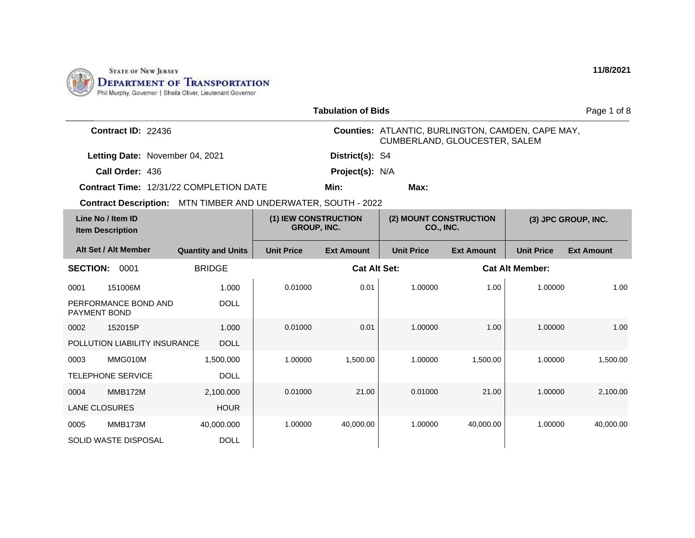

| <b>Tabulation of Bids</b>                                     |                           |                                            |                     |                                                                                    |                   |                        | Page 1 of 8         |
|---------------------------------------------------------------|---------------------------|--------------------------------------------|---------------------|------------------------------------------------------------------------------------|-------------------|------------------------|---------------------|
| Contract ID: 22436                                            |                           |                                            |                     | Counties: ATLANTIC, BURLINGTON, CAMDEN, CAPE MAY,<br>CUMBERLAND, GLOUCESTER, SALEM |                   |                        |                     |
| Letting Date: November 04, 2021                               |                           |                                            | District(s): S4     |                                                                                    |                   |                        |                     |
| Call Order: 436                                               |                           |                                            | Project(s): N/A     |                                                                                    |                   |                        |                     |
| Contract Time: 12/31/22 COMPLETION DATE                       |                           |                                            | Min:                | Max:                                                                               |                   |                        |                     |
| Contract Description: MTN TIMBER AND UNDERWATER, SOUTH - 2022 |                           |                                            |                     |                                                                                    |                   |                        |                     |
| Line No / Item ID<br><b>Item Description</b>                  |                           | (1) IEW CONSTRUCTION<br><b>GROUP, INC.</b> |                     | (2) MOUNT CONSTRUCTION<br><b>CO., INC.</b>                                         |                   |                        | (3) JPC GROUP, INC. |
| Alt Set / Alt Member                                          | <b>Quantity and Units</b> | <b>Unit Price</b>                          | <b>Ext Amount</b>   | <b>Unit Price</b>                                                                  | <b>Ext Amount</b> | <b>Unit Price</b>      | <b>Ext Amount</b>   |
| <b>SECTION:</b><br>0001                                       | <b>BRIDGE</b>             |                                            | <b>Cat Alt Set:</b> |                                                                                    |                   | <b>Cat Alt Member:</b> |                     |
| 151006M<br>0001                                               | 1.000                     | 0.01000                                    | 0.01                | 1.00000                                                                            | 1.00              | 1.00000                | 1.00                |
| PERFORMANCE BOND AND<br><b>PAYMENT BOND</b>                   | <b>DOLL</b>               |                                            |                     |                                                                                    |                   |                        |                     |
| 152015P<br>0002                                               | 1.000                     | 0.01000                                    | 0.01                | 1.00000                                                                            | 1.00              | 1.00000                | 1.00                |
| POLLUTION LIABILITY INSURANCE                                 | <b>DOLL</b>               |                                            |                     |                                                                                    |                   |                        |                     |
| 0003<br>MMG010M                                               | 1,500.000                 | 1.00000                                    | 1,500.00            | 1.00000                                                                            | 1,500.00          | 1.00000                | 1,500.00            |
| <b>TELEPHONE SERVICE</b>                                      | <b>DOLL</b>               |                                            |                     |                                                                                    |                   |                        |                     |
| <b>MMB172M</b><br>0004                                        | 2,100.000                 | 0.01000                                    | 21.00               | 0.01000                                                                            | 21.00             | 1.00000                | 2,100.00            |
| <b>LANE CLOSURES</b>                                          | <b>HOUR</b>               |                                            |                     |                                                                                    |                   |                        |                     |
| MMB173M<br>0005                                               | 40,000.000                | 1.00000                                    | 40,000.00           | 1.00000                                                                            | 40,000.00         | 1.00000                | 40,000.00           |
| <b>SOLID WASTE DISPOSAL</b>                                   | <b>DOLL</b>               |                                            |                     |                                                                                    |                   |                        |                     |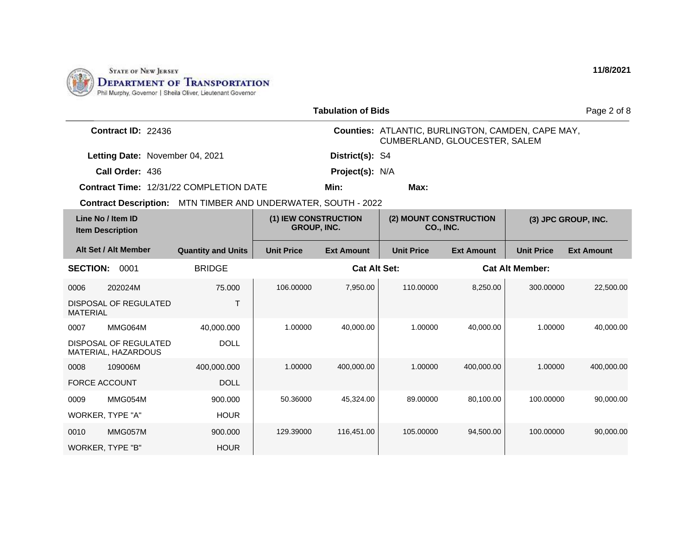

|                                                                      |                           |                                            | <b>Tabulation of Bids</b> |                                                                                           |                   |                        | Page 2 of 8         |
|----------------------------------------------------------------------|---------------------------|--------------------------------------------|---------------------------|-------------------------------------------------------------------------------------------|-------------------|------------------------|---------------------|
| Contract ID: 22436                                                   |                           |                                            |                           | <b>Counties: ATLANTIC, BURLINGTON, CAMDEN, CAPE MAY,</b><br>CUMBERLAND, GLOUCESTER, SALEM |                   |                        |                     |
| Letting Date: November 04, 2021                                      |                           |                                            | District(s): S4           |                                                                                           |                   |                        |                     |
| Call Order: 436                                                      |                           |                                            | Project(s): N/A           |                                                                                           |                   |                        |                     |
| <b>Contract Time: 12/31/22 COMPLETION DATE</b>                       |                           |                                            | Min:                      | Max:                                                                                      |                   |                        |                     |
| <b>Contract Description:</b> MTN TIMBER AND UNDERWATER, SOUTH - 2022 |                           |                                            |                           |                                                                                           |                   |                        |                     |
| Line No / Item ID<br><b>Item Description</b>                         |                           | (1) IEW CONSTRUCTION<br><b>GROUP, INC.</b> |                           | (2) MOUNT CONSTRUCTION<br>CO., INC.                                                       |                   |                        | (3) JPC GROUP, INC. |
| Alt Set / Alt Member                                                 | <b>Quantity and Units</b> | <b>Unit Price</b>                          | <b>Ext Amount</b>         | <b>Unit Price</b>                                                                         | <b>Ext Amount</b> | <b>Unit Price</b>      | <b>Ext Amount</b>   |
| <b>SECTION:</b><br>0001                                              | <b>BRIDGE</b>             |                                            | <b>Cat Alt Set:</b>       |                                                                                           |                   | <b>Cat Alt Member:</b> |                     |
| 202024M<br>0006                                                      | 75,000                    | 106.00000                                  | 7,950.00                  | 110.00000                                                                                 | 8,250.00          | 300.00000              | 22,500.00           |
| DISPOSAL OF REGULATED<br><b>MATERIAL</b>                             | $\mathsf{T}$              |                                            |                           |                                                                                           |                   |                        |                     |
| MMG064M<br>0007                                                      | 40,000.000                | 1.00000                                    | 40,000.00                 | 1.00000                                                                                   | 40,000.00         | 1.00000                | 40.000.00           |
| DISPOSAL OF REGULATED<br>MATERIAL, HAZARDOUS                         | <b>DOLL</b>               |                                            |                           |                                                                                           |                   |                        |                     |
| 109006M<br>0008                                                      | 400,000.000               | 1.00000                                    | 400,000.00                | 1.00000                                                                                   | 400,000.00        | 1.00000                | 400,000.00          |
| <b>FORCE ACCOUNT</b>                                                 | <b>DOLL</b>               |                                            |                           |                                                                                           |                   |                        |                     |
| 0009<br>MMG054M                                                      | 900.000                   | 50.36000                                   | 45,324.00                 | 89.00000                                                                                  | 80,100.00         | 100.00000              | 90,000.00           |
| WORKER, TYPE "A"                                                     | <b>HOUR</b>               |                                            |                           |                                                                                           |                   |                        |                     |
| MMG057M<br>0010                                                      | 900.000                   | 129.39000                                  | 116,451.00                | 105.00000                                                                                 | 94,500.00         | 100.00000              | 90,000.00           |
| WORKER, TYPE "B"                                                     | <b>HOUR</b>               |                                            |                           |                                                                                           |                   |                        |                     |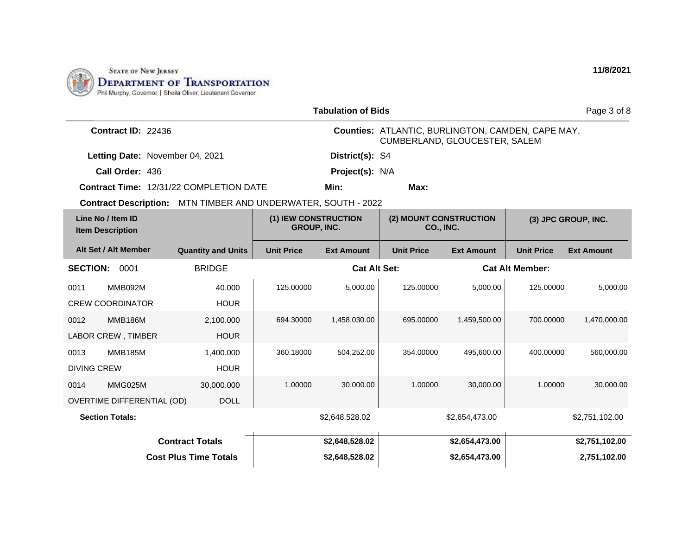

| Page 3 of 8<br><b>Tabulation of Bids</b>                                                   |                           |                     |                   |                                     |                                                                                           |                     |                   |
|--------------------------------------------------------------------------------------------|---------------------------|---------------------|-------------------|-------------------------------------|-------------------------------------------------------------------------------------------|---------------------|-------------------|
| Contract ID: 22436                                                                         |                           |                     |                   |                                     | <b>Counties: ATLANTIC, BURLINGTON, CAMDEN, CAPE MAY,</b><br>CUMBERLAND, GLOUCESTER, SALEM |                     |                   |
| Letting Date: November 04, 2021                                                            |                           |                     | District(s): S4   |                                     |                                                                                           |                     |                   |
| Call Order: 436                                                                            |                           |                     | Project(s): N/A   |                                     |                                                                                           |                     |                   |
| <b>Contract Time: 12/31/22 COMPLETION DATE</b>                                             |                           |                     | Min:              | Max:                                |                                                                                           |                     |                   |
| Contract Description: MTN TIMBER AND UNDERWATER, SOUTH - 2022                              |                           |                     |                   |                                     |                                                                                           |                     |                   |
| Line No / Item ID<br>(1) IEW CONSTRUCTION<br><b>GROUP, INC.</b><br><b>Item Description</b> |                           |                     |                   | (2) MOUNT CONSTRUCTION<br>CO., INC. |                                                                                           | (3) JPC GROUP, INC. |                   |
| Alt Set / Alt Member                                                                       | <b>Quantity and Units</b> | <b>Unit Price</b>   | <b>Ext Amount</b> | <b>Unit Price</b>                   | <b>Ext Amount</b>                                                                         | <b>Unit Price</b>   | <b>Ext Amount</b> |
| <b>SECTION:</b><br>0001                                                                    | <b>BRIDGE</b>             | <b>Cat Alt Set:</b> |                   | <b>Cat Alt Member:</b>              |                                                                                           |                     |                   |
| 0011<br>MMB092M                                                                            | 40.000                    | 125.00000           | 5,000.00          | 125.00000                           | 5,000.00                                                                                  | 125.00000           | 5,000.00          |
| <b>CREW COORDINATOR</b>                                                                    | <b>HOUR</b>               |                     |                   |                                     |                                                                                           |                     |                   |
| 0012<br><b>MMB186M</b>                                                                     | 2,100.000                 | 694.30000           | 1,458,030.00      | 695.00000                           | 1,459,500.00                                                                              | 700.00000           | 1,470,000.00      |
| <b>LABOR CREW, TIMBER</b>                                                                  | <b>HOUR</b>               |                     |                   |                                     |                                                                                           |                     |                   |
| 0013<br><b>MMB185M</b>                                                                     | 1,400.000                 | 360.18000           | 504,252.00        | 354.00000                           | 495.600.00                                                                                | 400.00000           | 560,000.00        |
| <b>DIVING CREW</b>                                                                         | <b>HOUR</b>               |                     |                   |                                     |                                                                                           |                     |                   |
| MMG025M<br>0014                                                                            | 30,000.000                | 1.00000             | 30,000.00         | 1.00000                             | 30,000.00                                                                                 | 1.00000             | 30,000.00         |
| OVERTIME DIFFERENTIAL (OD)                                                                 | <b>DOLL</b>               |                     |                   |                                     |                                                                                           |                     |                   |
| <b>Section Totals:</b>                                                                     |                           |                     | \$2,648,528.02    |                                     | \$2,654,473.00                                                                            |                     | \$2,751,102.00    |
| <b>Contract Totals</b>                                                                     |                           |                     | \$2,648,528.02    |                                     | \$2,654,473.00                                                                            |                     | \$2,751,102.00    |
| <b>Cost Plus Time Totals</b>                                                               |                           | \$2,648,528.02      |                   | \$2,654,473.00                      |                                                                                           | 2,751,102.00        |                   |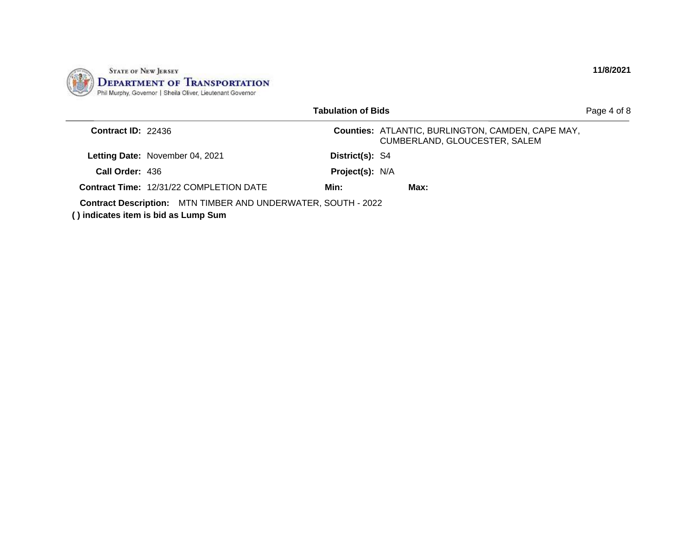

|                      |                                                                                                              | Tabulation of Bids |                                                                                           | Page 4 of 8 |
|----------------------|--------------------------------------------------------------------------------------------------------------|--------------------|-------------------------------------------------------------------------------------------|-------------|
| Contract $ID: 22436$ |                                                                                                              |                    | <b>Counties: ATLANTIC, BURLINGTON, CAMDEN, CAPE MAY,</b><br>CUMBERLAND, GLOUCESTER, SALEM |             |
|                      | <b>Letting Date: November 04, 2021</b>                                                                       | District(s): S4    |                                                                                           |             |
| Call Order: 436      |                                                                                                              | Project(s): N/A    |                                                                                           |             |
|                      | <b>Contract Time: 12/31/22 COMPLETION DATE</b>                                                               | Min:               | Max:                                                                                      |             |
|                      | <b>Contract Description:</b> MTN TIMBER AND UNDERWATER, SOUTH - 2022<br>() indicates item is bid as Lump Sum |                    |                                                                                           |             |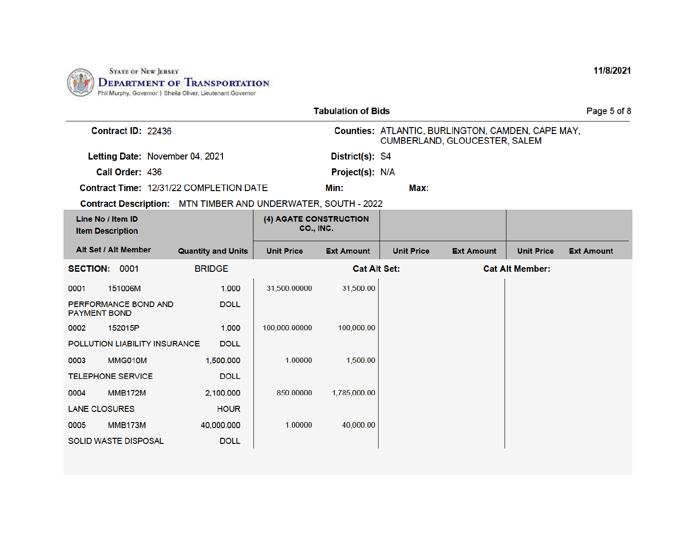

| <b>Tabulation of Bids</b> |                                              |                                                               |                                     |                     |                   |                                                                                    | Page 5 of 8            |                   |
|---------------------------|----------------------------------------------|---------------------------------------------------------------|-------------------------------------|---------------------|-------------------|------------------------------------------------------------------------------------|------------------------|-------------------|
|                           | Contract ID: 22436                           |                                                               |                                     |                     |                   | Counties: ATLANTIC, BURLINGTON, CAMDEN, CAPE MAY,<br>CUMBERLAND, GLOUCESTER, SALEM |                        |                   |
|                           | Letting Date: November 04, 2021              |                                                               |                                     | District(s): S4     |                   |                                                                                    |                        |                   |
|                           | Call Order: 436                              |                                                               |                                     | Project(s): N/A     |                   |                                                                                    |                        |                   |
|                           |                                              | Contract Time: 12/31/22 COMPLETION DATE                       |                                     | Min:                | Max:              |                                                                                    |                        |                   |
|                           |                                              | Contract Description: MTN TIMBER AND UNDERWATER, SOUTH - 2022 |                                     |                     |                   |                                                                                    |                        |                   |
|                           | Line No / Item ID<br><b>Item Description</b> |                                                               | (4) AGATE CONSTRUCTION<br>CO., INC. |                     |                   |                                                                                    |                        |                   |
|                           | Alt Set / Alt Member                         | <b>Quantity and Units</b>                                     | <b>Unit Price</b>                   | <b>Ext Amount</b>   | <b>Unit Price</b> | <b>Ext Amount</b>                                                                  | <b>Unit Price</b>      | <b>Ext Amount</b> |
| SECTION: 0001             |                                              | <b>BRIDGE</b>                                                 |                                     | <b>Cat Alt Set:</b> |                   |                                                                                    | <b>Cat Alt Member:</b> |                   |
| 0001                      | 151006M                                      | 1.000                                                         | 31,500.00000                        | 31,500.00           |                   |                                                                                    |                        |                   |
| <b>PAYMENT BOND</b>       | PERFORMANCE BOND AND                         | <b>DOLL</b>                                                   |                                     |                     |                   |                                                                                    |                        |                   |
| 0002                      | 152015P                                      | 1.000                                                         | 100,000.00000                       | 100,000.00          |                   |                                                                                    |                        |                   |
|                           | POLLUTION LIABILITY INSURANCE                | <b>DOLL</b>                                                   |                                     |                     |                   |                                                                                    |                        |                   |
| 0003                      | MMG010M                                      | 1,500.000                                                     | 1.00000                             | 1,500.00            |                   |                                                                                    |                        |                   |
|                           | <b>TELEPHONE SERVICE</b>                     | <b>DOLL</b>                                                   |                                     |                     |                   |                                                                                    |                        |                   |
| 0004                      | <b>MMB172M</b>                               | 2,100.000                                                     | 850.00000                           | 1,785,000.00        |                   |                                                                                    |                        |                   |
| <b>LANE CLOSURES</b>      |                                              | <b>HOUR</b>                                                   |                                     |                     |                   |                                                                                    |                        |                   |
| 0005                      | MMB173M                                      | 40,000.000                                                    | 1.00000                             | 40,000.00           |                   |                                                                                    |                        |                   |
|                           | <b>SOLID WASTE DISPOSAL</b>                  | <b>DOLL</b>                                                   |                                     |                     |                   |                                                                                    |                        |                   |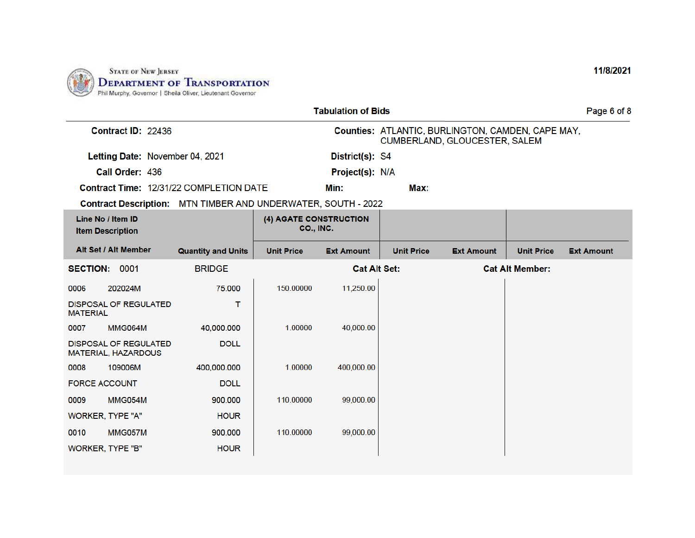

| <b>Tabulation of Bids</b> |                                                     |                                                               |                                     |                     |                   | Page 6 of 8                                                                        |                        |                   |
|---------------------------|-----------------------------------------------------|---------------------------------------------------------------|-------------------------------------|---------------------|-------------------|------------------------------------------------------------------------------------|------------------------|-------------------|
|                           | Contract ID: 22436                                  |                                                               |                                     |                     |                   | Counties: ATLANTIC, BURLINGTON, CAMDEN, CAPE MAY,<br>CUMBERLAND, GLOUCESTER, SALEM |                        |                   |
|                           | Letting Date: November 04, 2021                     |                                                               |                                     | District(s): S4     |                   |                                                                                    |                        |                   |
|                           | Call Order: 436                                     |                                                               |                                     | Project(s): N/A     |                   |                                                                                    |                        |                   |
|                           |                                                     | Contract Time: 12/31/22 COMPLETION DATE                       |                                     | Min:                | Max:              |                                                                                    |                        |                   |
|                           |                                                     | Contract Description: MTN TIMBER AND UNDERWATER, SOUTH - 2022 |                                     |                     |                   |                                                                                    |                        |                   |
|                           | Line No / Item ID<br><b>Item Description</b>        |                                                               | (4) AGATE CONSTRUCTION<br>CO., INC. |                     |                   |                                                                                    |                        |                   |
|                           | Alt Set / Alt Member                                | <b>Quantity and Units</b>                                     | <b>Unit Price</b>                   | <b>Ext Amount</b>   | <b>Unit Price</b> | <b>Ext Amount</b>                                                                  | <b>Unit Price</b>      | <b>Ext Amount</b> |
| SECTION: 0001             |                                                     | <b>BRIDGE</b>                                                 |                                     | <b>Cat Alt Set:</b> |                   |                                                                                    | <b>Cat Alt Member:</b> |                   |
| 0006                      | 202024M                                             | 75,000                                                        | 150.00000                           | 11,250.00           |                   |                                                                                    |                        |                   |
| <b>MATERIAL</b>           | <b>DISPOSAL OF REGULATED</b>                        | т                                                             |                                     |                     |                   |                                                                                    |                        |                   |
| 0007                      | <b>MMG064M</b>                                      | 40,000,000                                                    | 1.00000                             | 40,000.00           |                   |                                                                                    |                        |                   |
|                           | <b>DISPOSAL OF REGULATED</b><br>MATERIAL, HAZARDOUS | <b>DOLL</b>                                                   |                                     |                     |                   |                                                                                    |                        |                   |
| 0008                      | 109006M                                             | 400,000.000                                                   | 1.00000                             | 400,000.00          |                   |                                                                                    |                        |                   |
| <b>FORCE ACCOUNT</b>      |                                                     | <b>DOLL</b>                                                   |                                     |                     |                   |                                                                                    |                        |                   |
| 0009                      | MMG054M                                             | 900.000                                                       | 110.00000                           | 99,000.00           |                   |                                                                                    |                        |                   |
|                           | WORKER, TYPE "A"                                    | <b>HOUR</b>                                                   |                                     |                     |                   |                                                                                    |                        |                   |
| 0010                      | MMG057M                                             | 900.000                                                       | 110.00000                           | 99,000.00           |                   |                                                                                    |                        |                   |
|                           | <b>WORKER, TYPE "B"</b>                             | <b>HOUR</b>                                                   |                                     |                     |                   |                                                                                    |                        |                   |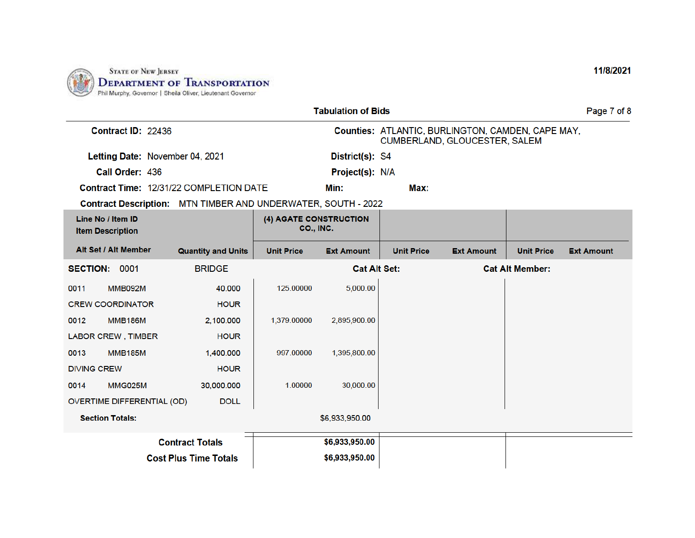

| <b>Tabulation of Bids</b>                    |                                   |                                                               |                                     |                     |                                                                                    | Page 7 of 8       |                        |                   |
|----------------------------------------------|-----------------------------------|---------------------------------------------------------------|-------------------------------------|---------------------|------------------------------------------------------------------------------------|-------------------|------------------------|-------------------|
|                                              | Contract ID: 22436                |                                                               |                                     |                     | Counties: ATLANTIC, BURLINGTON, CAMDEN, CAPE MAY,<br>CUMBERLAND, GLOUCESTER, SALEM |                   |                        |                   |
|                                              | Letting Date: November 04, 2021   |                                                               |                                     | District(s): S4     |                                                                                    |                   |                        |                   |
|                                              | Call Order: 436                   |                                                               |                                     | Project(s): N/A     |                                                                                    |                   |                        |                   |
|                                              |                                   | Contract Time: 12/31/22 COMPLETION DATE                       |                                     | Min:                | Max:                                                                               |                   |                        |                   |
|                                              |                                   | Contract Description: MTN TIMBER AND UNDERWATER, SOUTH - 2022 |                                     |                     |                                                                                    |                   |                        |                   |
| Line No / Item ID<br><b>Item Description</b> |                                   |                                                               | (4) AGATE CONSTRUCTION<br>CO., INC. |                     |                                                                                    |                   |                        |                   |
|                                              | Alt Set / Alt Member              | <b>Quantity and Units</b>                                     | <b>Unit Price</b>                   | <b>Ext Amount</b>   | <b>Unit Price</b>                                                                  | <b>Ext Amount</b> | <b>Unit Price</b>      | <b>Ext Amount</b> |
| SECTION: 0001                                |                                   | <b>BRIDGE</b>                                                 |                                     | <b>Cat Alt Set:</b> |                                                                                    |                   | <b>Cat Alt Member:</b> |                   |
| 0011                                         | <b>MMB092M</b>                    | 40.000                                                        | 125.00000                           | 5,000.00            |                                                                                    |                   |                        |                   |
| <b>CREW COORDINATOR</b>                      |                                   | <b>HOUR</b>                                                   |                                     |                     |                                                                                    |                   |                        |                   |
| 0012                                         | <b>MMB186M</b>                    | 2,100.000                                                     | 1,379.00000                         | 2,895,900.00        |                                                                                    |                   |                        |                   |
|                                              | <b>LABOR CREW, TIMBER</b>         | <b>HOUR</b>                                                   |                                     |                     |                                                                                    |                   |                        |                   |
| 0013                                         | <b>MMB185M</b>                    | 1,400.000                                                     | 997.00000                           | 1,395,800.00        |                                                                                    |                   |                        |                   |
| <b>DIVING CREW</b>                           |                                   | <b>HOUR</b>                                                   |                                     |                     |                                                                                    |                   |                        |                   |
| 0014                                         | <b>MMG025M</b>                    | 30,000.000                                                    | 1.00000                             | 30,000.00           |                                                                                    |                   |                        |                   |
|                                              | <b>OVERTIME DIFFERENTIAL (OD)</b> | <b>DOLL</b>                                                   |                                     |                     |                                                                                    |                   |                        |                   |
| <b>Section Totals:</b>                       |                                   |                                                               |                                     | \$6,933,950.00      |                                                                                    |                   |                        |                   |
|                                              |                                   | <b>Contract Totals</b>                                        |                                     | \$6,933,950.00      |                                                                                    |                   |                        |                   |
|                                              |                                   | <b>Cost Plus Time Totals</b>                                  |                                     | \$6,933,950.00      |                                                                                    |                   |                        |                   |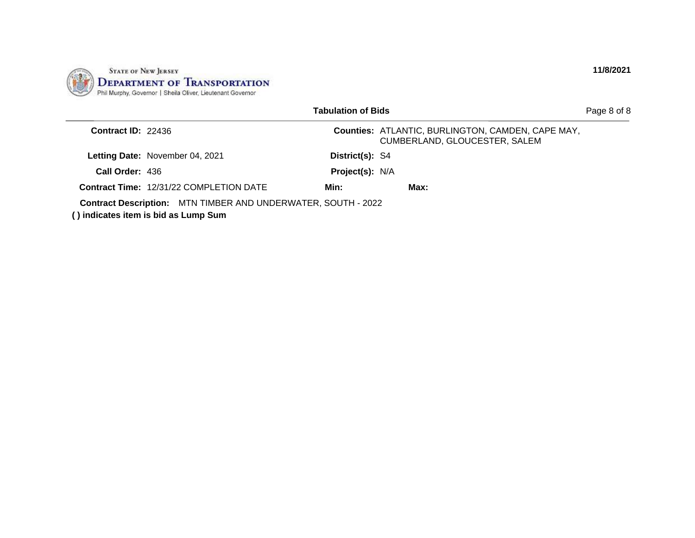

|                      |                                                                                                              | Tabulation of Bids |                                                                                           | Page 8 of 8 |
|----------------------|--------------------------------------------------------------------------------------------------------------|--------------------|-------------------------------------------------------------------------------------------|-------------|
| Contract $ID: 22436$ |                                                                                                              |                    | <b>Counties: ATLANTIC, BURLINGTON, CAMDEN, CAPE MAY,</b><br>CUMBERLAND, GLOUCESTER, SALEM |             |
|                      | <b>Letting Date: November 04, 2021</b>                                                                       | District(s): S4    |                                                                                           |             |
| Call Order: 436      |                                                                                                              | Project(s): N/A    |                                                                                           |             |
|                      | <b>Contract Time: 12/31/22 COMPLETION DATE</b>                                                               | Min:               | Max:                                                                                      |             |
|                      | <b>Contract Description:</b> MTN TIMBER AND UNDERWATER, SOUTH - 2022<br>() indicates item is bid as Lump Sum |                    |                                                                                           |             |